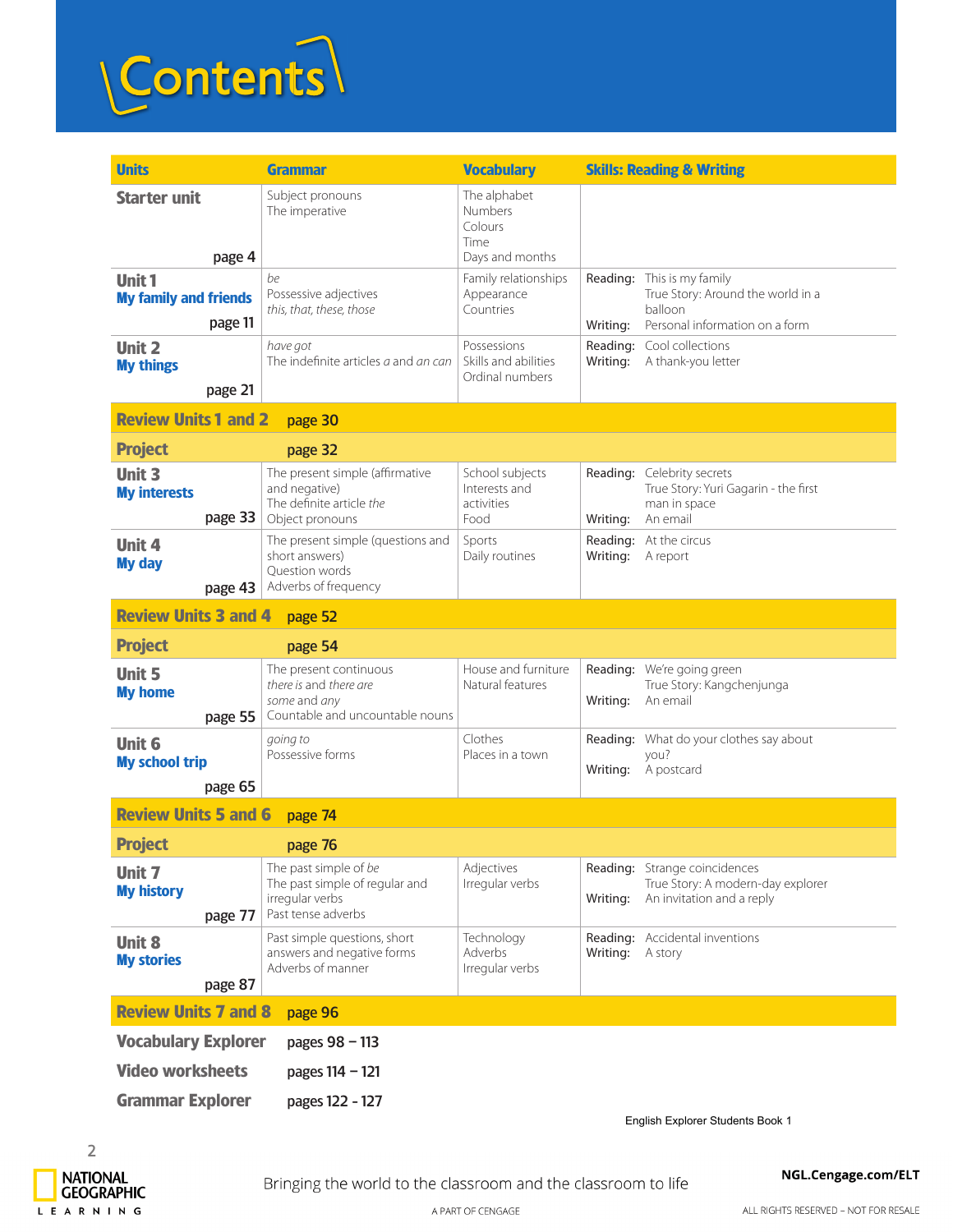

| <b>Units</b>                                                                   | <b>Grammar</b>                                                                                      | <b>Vocabulary</b>                                      |          | <b>Skills: Reading &amp; Writing</b>                                                                         |  |  |
|--------------------------------------------------------------------------------|-----------------------------------------------------------------------------------------------------|--------------------------------------------------------|----------|--------------------------------------------------------------------------------------------------------------|--|--|
| <b>Starter unit</b>                                                            | Subject pronouns<br>The imperative                                                                  | The alphabet<br>Numbers<br>Colours<br>Time             |          |                                                                                                              |  |  |
| page 4                                                                         |                                                                                                     | Days and months                                        |          |                                                                                                              |  |  |
| <b>Unit1</b><br><b>My family and friends</b><br>page 11                        | be<br>Possessive adjectives<br>this, that, these, those                                             | Family relationships<br>Appearance<br>Countries        | Writing: | Reading: This is my family<br>True Story: Around the world in a<br>balloon<br>Personal information on a form |  |  |
| Unit 2<br><b>My things</b>                                                     | have got<br>The indefinite articles a and an can                                                    | Possessions<br>Skills and abilities<br>Ordinal numbers |          | Reading: Cool collections<br>Writing: A thank-you letter                                                     |  |  |
| page 21<br><b>Review Units 1 and 2</b><br>page 30                              |                                                                                                     |                                                        |          |                                                                                                              |  |  |
| <b>Project</b><br>page 32                                                      |                                                                                                     |                                                        |          |                                                                                                              |  |  |
| <b>Unit 3</b><br><b>My interests</b><br>page 33                                | The present simple (affirmative<br>and negative)<br>The definite article the<br>Object pronouns     | School subjects<br>Interests and<br>activities<br>Food | Writing: | Reading: Celebrity secrets<br>True Story: Yuri Gagarin - the first<br>man in space<br>An email               |  |  |
| <b>Unit 4</b><br>My day<br>page 43                                             | The present simple (questions and<br>short answers)<br>Question words<br>Adverbs of frequency       | Sports<br>Daily routines                               | Writing: | Reading: At the circus<br>A report                                                                           |  |  |
| <b>Review Units 3 and 4</b><br>page 52                                         |                                                                                                     |                                                        |          |                                                                                                              |  |  |
| <b>Project</b>                                                                 | page 54                                                                                             |                                                        |          |                                                                                                              |  |  |
| <b>Unit 5</b><br><b>My home</b><br>page 55                                     | The present continuous<br>there is and there are<br>some and any<br>Countable and uncountable nouns | House and furniture<br>Natural features                | Writing: | Reading: We're going green<br>True Story: Kangchenjunga<br>An email                                          |  |  |
| <b>Unit 6</b><br><b>My school trip</b><br>page 65                              | going to<br>Possessive forms                                                                        | Clothes<br>Places in a town                            | Writing: | Reading: What do your clothes say about<br>you?<br>A postcard                                                |  |  |
| <b>Review Units 5 and 6</b><br>page 74                                         |                                                                                                     |                                                        |          |                                                                                                              |  |  |
| <b>Project</b><br>page 76                                                      |                                                                                                     |                                                        |          |                                                                                                              |  |  |
| Unit 7<br><b>My history</b><br>page 77                                         | The past simple of be<br>The past simple of regular and<br>irregular verbs<br>Past tense adverbs    | Adjectives<br>Irregular verbs                          | Writing: | Reading: Strange coincidences<br>True Story: A modern-day explorer<br>An invitation and a reply              |  |  |
| <b>Unit 8</b><br><b>My stories</b><br>page 87                                  | Past simple questions, short<br>answers and negative forms<br>Adverbs of manner                     | Technology<br>Adverbs<br>Irregular verbs               | Writing: | Reading: Accidental inventions<br>A story                                                                    |  |  |
| <b>Review Units 7 and 8</b><br>page 96                                         |                                                                                                     |                                                        |          |                                                                                                              |  |  |
| <b>Vocabulary Explorer</b><br>pages 98 - 113                                   |                                                                                                     |                                                        |          |                                                                                                              |  |  |
| <b>Video worksheets</b><br>pages 114 - 121                                     |                                                                                                     |                                                        |          |                                                                                                              |  |  |
| <b>Grammar Explorer</b><br>pages 122 - 127<br>English Explorer Students Book 1 |                                                                                                     |                                                        |          |                                                                                                              |  |  |



Bringing the world to the classroom and the classroom to life